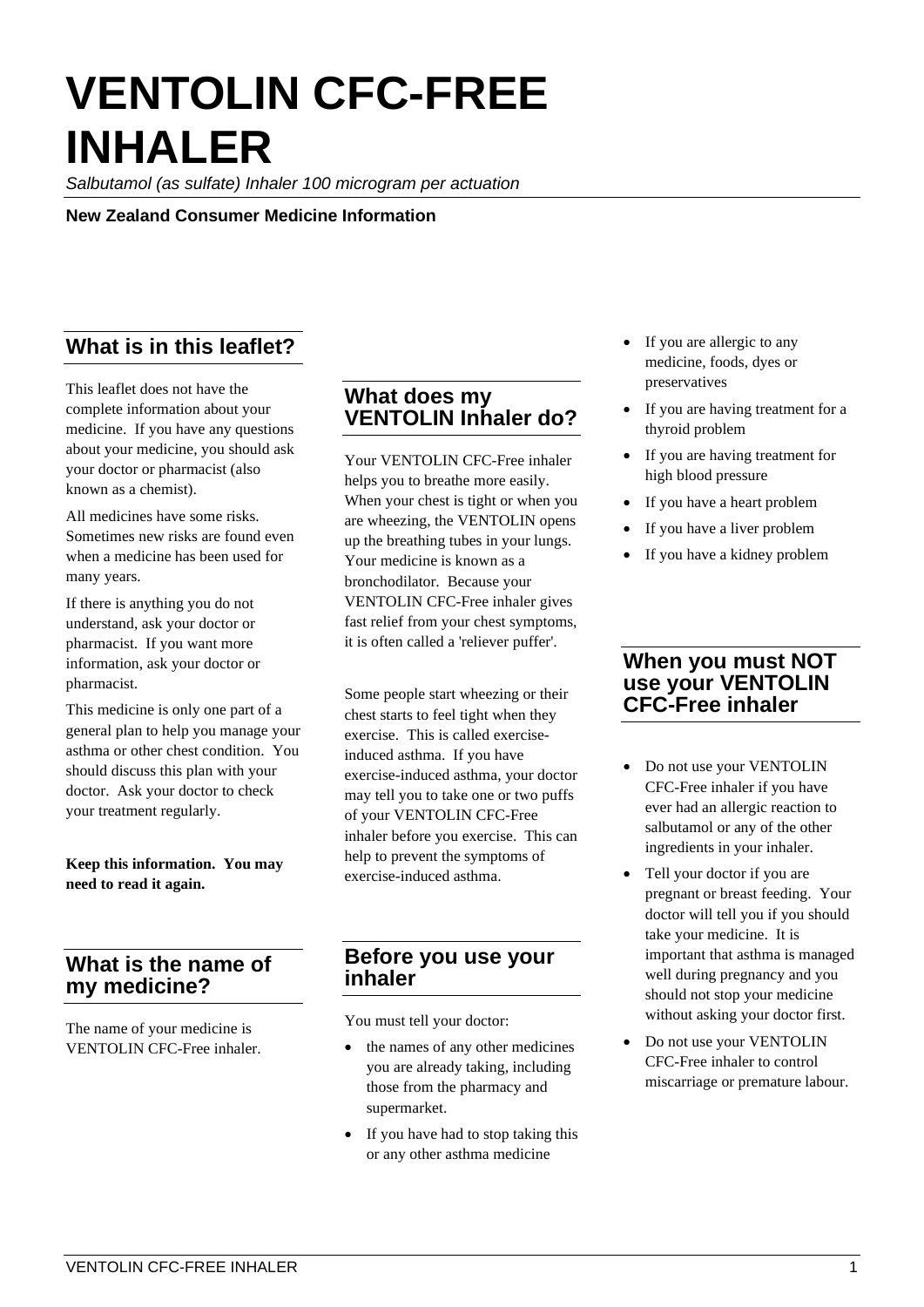# **VENTOLIN CFC-FREE INHALER**

*Salbutamol (as sulfate) Inhaler 100 microgram per actuation*

**New Zealand Consumer Medicine Information**

# **What is in this leaflet?**

This leaflet does not have the complete information about your medicine. If you have any questions about your medicine, you should ask your doctor or pharmacist (also known as a chemist).

All medicines have some risks. Sometimes new risks are found even when a medicine has been used for many years.

If there is anything you do not understand, ask your doctor or pharmacist. If you want more information, ask your doctor or pharmacist.

This medicine is only one part of a general plan to help you manage your asthma or other chest condition. You should discuss this plan with your doctor. Ask your doctor to check your treatment regularly.

**Keep this information. You may need to read it again.**

### **What is the name of my medicine?**

The name of your medicine is VENTOLIN CFC-Free inhaler.

#### **What does my VENTOLIN Inhaler do?**

Your VENTOLIN CFC-Free inhaler helps you to breathe more easily. When your chest is tight or when you are wheezing, the VENTOLIN opens up the breathing tubes in your lungs. Your medicine is known as a bronchodilator. Because your VENTOLIN CFC-Free inhaler gives fast relief from your chest symptoms, it is often called a 'reliever puffer'.

Some people start wheezing or their chest starts to feel tight when they exercise. This is called exerciseinduced asthma. If you have exercise-induced asthma, your doctor may tell you to take one or two puffs of your VENTOLIN CFC-Free inhaler before you exercise. This can help to prevent the symptoms of exercise-induced asthma.

#### **Before you use your inhaler**

You must tell your doctor:

- the names of any other medicines you are already taking, including those from the pharmacy and supermarket.
- If you have had to stop taking this or any other asthma medicine
- If you are allergic to any medicine, foods, dyes or preservatives
- If you are having treatment for a thyroid problem
- If you are having treatment for high blood pressure
- If you have a heart problem
- If you have a liver problem
- If you have a kidney problem

#### **When you must NOT use your VENTOLIN CFC-Free inhaler**

- Do not use your VENTOLIN CFC-Free inhaler if you have ever had an allergic reaction to salbutamol or any of the other ingredients in your inhaler.
- Tell your doctor if you are pregnant or breast feeding. Your doctor will tell you if you should take your medicine. It is important that asthma is managed well during pregnancy and you should not stop your medicine without asking your doctor first.
- Do not use your VENTOLIN CFC-Free inhaler to control miscarriage or premature labour.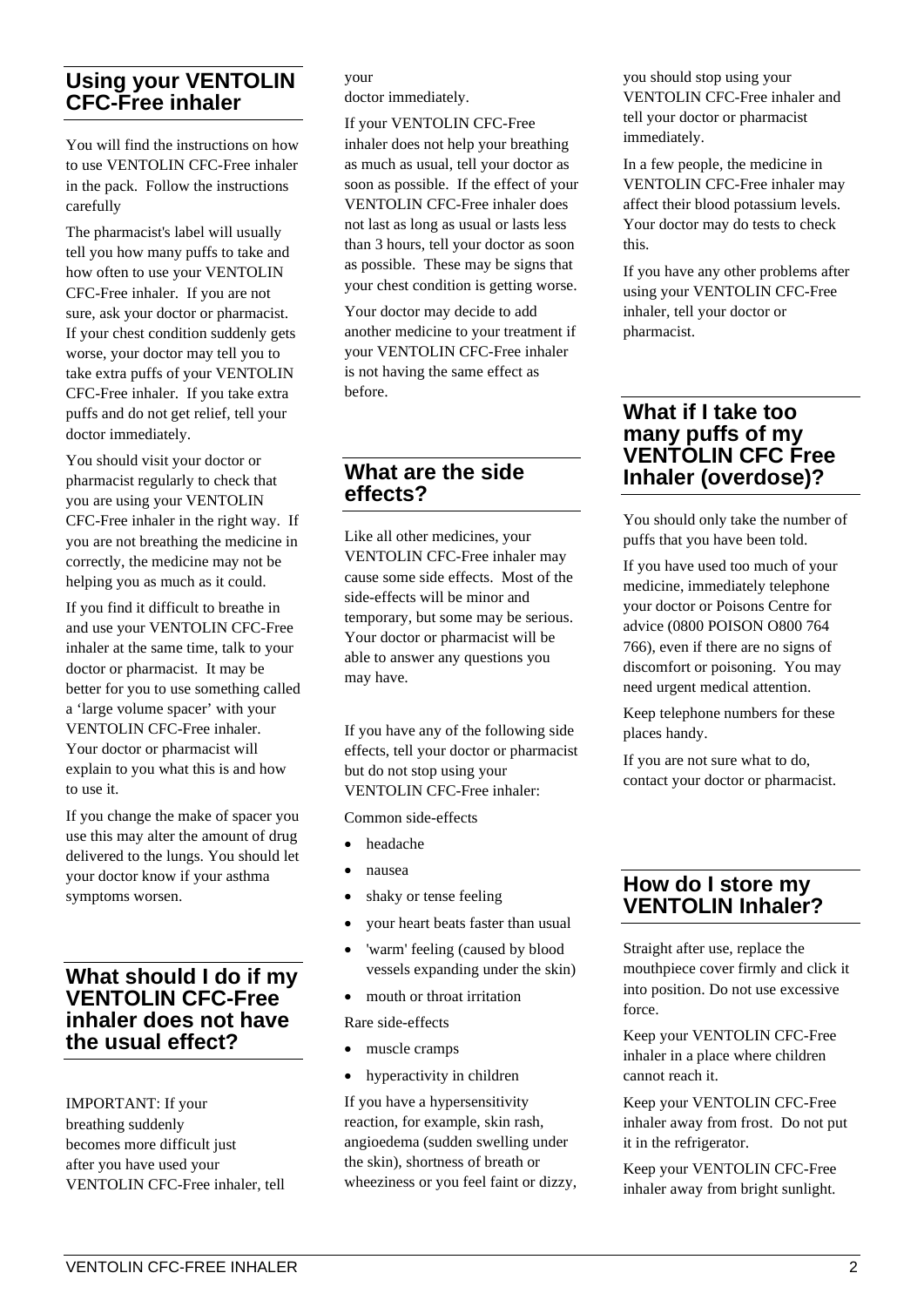#### **Using your VENTOLIN CFC-Free inhaler**

You will find the instructions on how to use VENTOLIN CFC-Free inhaler in the pack. Follow the instructions carefully

The pharmacist's label will usually tell you how many puffs to take and how often to use your VENTOLIN CFC-Free inhaler. If you are not sure, ask your doctor or pharmacist. If your chest condition suddenly gets worse, your doctor may tell you to take extra puffs of your VENTOLIN CFC-Free inhaler. If you take extra puffs and do not get relief, tell your doctor immediately.

You should visit your doctor or pharmacist regularly to check that you are using your VENTOLIN CFC-Free inhaler in the right way. If you are not breathing the medicine in correctly, the medicine may not be helping you as much as it could.

If you find it difficult to breathe in and use your VENTOLIN CFC-Free inhaler at the same time, talk to your doctor or pharmacist. It may be better for you to use something called a 'large volume spacer' with your VENTOLIN CFC-Free inhaler. Your doctor or pharmacist will explain to you what this is and how to use it.

If you change the make of spacer you use this may alter the amount of drug delivered to the lungs. You should let your doctor know if your asthma symptoms worsen.

#### **What should I do if my VENTOLIN CFC-Free inhaler does not have the usual effect?**

IMPORTANT: If your breathing suddenly becomes more difficult just after you have used your VENTOLIN CFC-Free inhaler, tell

#### your doctor immediately.

If your VENTOLIN CFC-Free inhaler does not help your breathing as much as usual, tell your doctor as soon as possible. If the effect of your VENTOLIN CFC-Free inhaler does not last as long as usual or lasts less than 3 hours, tell your doctor as soon as possible. These may be signs that your chest condition is getting worse.

Your doctor may decide to add another medicine to your treatment if your VENTOLIN CFC-Free inhaler is not having the same effect as before.

#### **What are the side effects?**

Like all other medicines, your VENTOLIN CFC-Free inhaler may cause some side effects. Most of the side-effects will be minor and temporary, but some may be serious. Your doctor or pharmacist will be able to answer any questions you may have.

If you have any of the following side effects, tell your doctor or pharmacist but do not stop using your VENTOLIN CFC-Free inhaler:

Common side-effects

- headache
- nausea
- shaky or tense feeling
- your heart beats faster than usual
- 'warm' feeling (caused by blood vessels expanding under the skin)
- mouth or throat irritation

Rare side-effects

- muscle cramps
- hyperactivity in children

If you have a hypersensitivity reaction, for example, skin rash, angioedema (sudden swelling under the skin), shortness of breath or wheeziness or you feel faint or dizzy, you should stop using your VENTOLIN CFC-Free inhaler and tell your doctor or pharmacist immediately.

In a few people, the medicine in VENTOLIN CFC-Free inhaler may affect their blood potassium levels. Your doctor may do tests to check this.

If you have any other problems after using your VENTOLIN CFC-Free inhaler, tell your doctor or pharmacist.

#### **What if I take too many puffs of my VENTOLIN CFC Free Inhaler (overdose)?**

You should only take the number of puffs that you have been told.

If you have used too much of your medicine, immediately telephone your doctor or Poisons Centre for advice (0800 POISON O800 764 766), even if there are no signs of discomfort or poisoning. You may need urgent medical attention.

Keep telephone numbers for these places handy.

If you are not sure what to do, contact your doctor or pharmacist.

### **How do I store my VENTOLIN Inhaler?**

Straight after use, replace the mouthpiece cover firmly and click it into position. Do not use excessive force.

Keep your VENTOLIN CFC-Free inhaler in a place where children cannot reach it.

Keep your VENTOLIN CFC-Free inhaler away from frost. Do not put it in the refrigerator.

Keep your VENTOLIN CFC-Free inhaler away from bright sunlight.